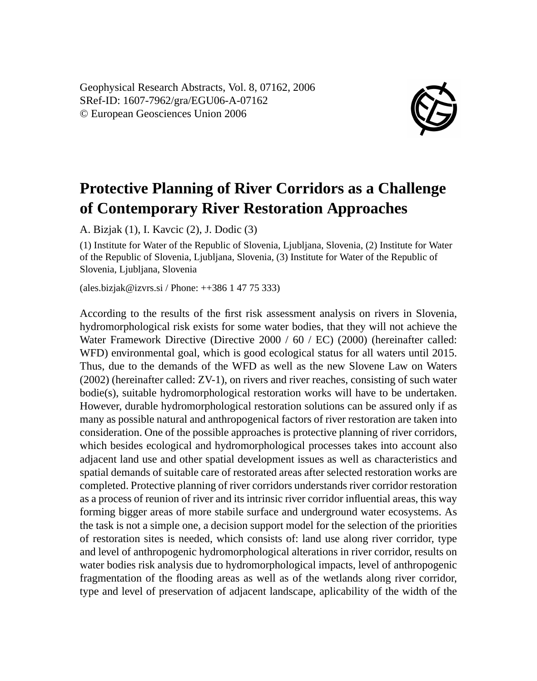Geophysical Research Abstracts, Vol. 8, 07162, 2006 SRef-ID: 1607-7962/gra/EGU06-A-07162 © European Geosciences Union 2006



## **Protective Planning of River Corridors as a Challenge of Contemporary River Restoration Approaches**

A. Bizjak (1), I. Kavcic (2), J. Dodic (3)

(1) Institute for Water of the Republic of Slovenia, Ljubljana, Slovenia, (2) Institute for Water of the Republic of Slovenia, Ljubljana, Slovenia, (3) Institute for Water of the Republic of Slovenia, Ljubljana, Slovenia

(ales.bizjak@izvrs.si / Phone: ++386 1 47 75 333)

According to the results of the first risk assessment analysis on rivers in Slovenia, hydromorphological risk exists for some water bodies, that they will not achieve the Water Framework Directive (Directive 2000 / 60 / EC) (2000) (hereinafter called: WFD) environmental goal, which is good ecological status for all waters until 2015. Thus, due to the demands of the WFD as well as the new Slovene Law on Waters (2002) (hereinafter called: ZV-1), on rivers and river reaches, consisting of such water bodie(s), suitable hydromorphological restoration works will have to be undertaken. However, durable hydromorphological restoration solutions can be assured only if as many as possible natural and anthropogenical factors of river restoration are taken into consideration. One of the possible approaches is protective planning of river corridors, which besides ecological and hydromorphological processes takes into account also adjacent land use and other spatial development issues as well as characteristics and spatial demands of suitable care of restorated areas after selected restoration works are completed. Protective planning of river corridors understands river corridor restoration as a process of reunion of river and its intrinsic river corridor influential areas, this way forming bigger areas of more stabile surface and underground water ecosystems. As the task is not a simple one, a decision support model for the selection of the priorities of restoration sites is needed, which consists of: land use along river corridor, type and level of anthropogenic hydromorphological alterations in river corridor, results on water bodies risk analysis due to hydromorphological impacts, level of anthropogenic fragmentation of the flooding areas as well as of the wetlands along river corridor, type and level of preservation of adjacent landscape, aplicability of the width of the